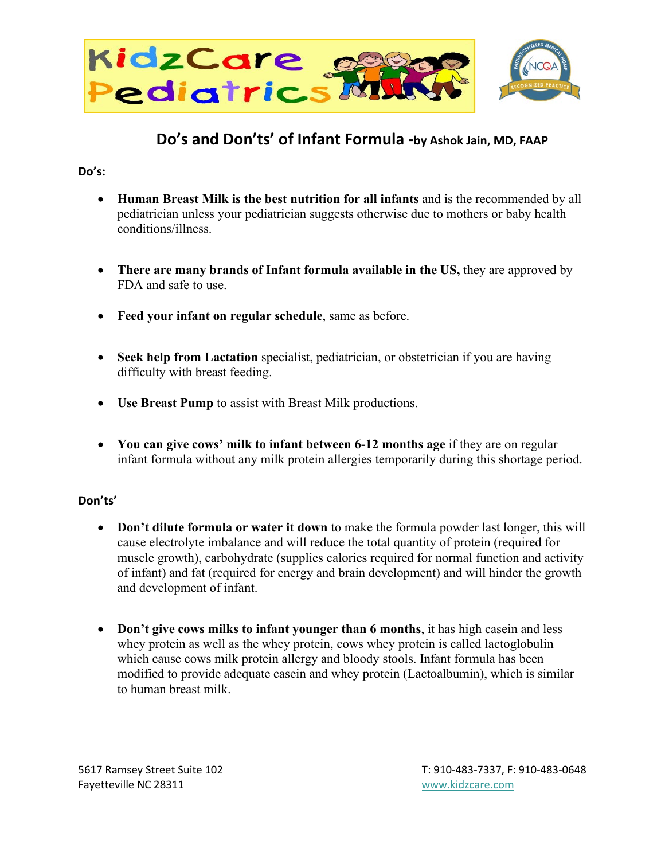

## **Do's and Don'ts' of Infant Formula -by Ashok Jain, MD, FAAP**

## **Do's:**

- **Human Breast Milk is the best nutrition for all infants** and is the recommended by all pediatrician unless your pediatrician suggests otherwise due to mothers or baby health conditions/illness.
- **There are many brands of Infant formula available in the US,** they are approved by FDA and safe to use.
- **Feed your infant on regular schedule**, same as before.
- **Seek help from Lactation** specialist, pediatrician, or obstetrician if you are having difficulty with breast feeding.
- **Use Breast Pump** to assist with Breast Milk productions.
- **You can give cows' milk to infant between 6-12 months age** if they are on regular infant formula without any milk protein allergies temporarily during this shortage period.

## **Don'ts'**

- **Don't dilute formula or water it down** to make the formula powder last longer, this will cause electrolyte imbalance and will reduce the total quantity of protein (required for muscle growth), carbohydrate (supplies calories required for normal function and activity of infant) and fat (required for energy and brain development) and will hinder the growth and development of infant.
- **Don't give cows milks to infant younger than 6 months**, it has high casein and less whey protein as well as the whey protein, cows whey protein is called lactoglobulin which cause cows milk protein allergy and bloody stools. Infant formula has been modified to provide adequate casein and whey protein (Lactoalbumin), which is similar to human breast milk.